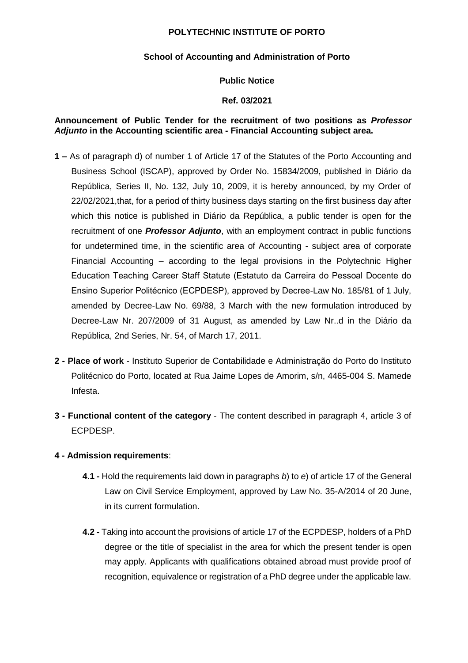## **POLYTECHNIC INSTITUTE OF PORTO**

## **School of Accounting and Administration of Porto**

## **Public Notice**

## **Ref. 03/2021**

## **Announcement of Public Tender for the recruitment of two positions as** *Professor Adjunto* **in the Accounting scientific area - Financial Accounting subject area.**

- **1 –** As of paragraph d) of number 1 of Article 17 of the Statutes of the Porto Accounting and Business School (ISCAP), approved by Order No. 15834/2009, published in Diário da República, Series II, No. 132, July 10, 2009, it is hereby announced, by my Order of 22/02/2021,that, for a period of thirty business days starting on the first business day after which this notice is published in Diário da República, a public tender is open for the recruitment of one *Professor Adjunto*, with an employment contract in public functions for undetermined time, in the scientific area of Accounting - subject area of corporate Financial Accounting – according to the legal provisions in the Polytechnic Higher Education Teaching Career Staff Statute (Estatuto da Carreira do Pessoal Docente do Ensino Superior Politécnico (ECPDESP), approved by Decree-Law No. 185/81 of 1 July, amended by Decree-Law No. 69/88, 3 March with the new formulation introduced by Decree-Law Nr. 207/2009 of 31 August, as amended by Law Nr..d in the Diário da República, 2nd Series, Nr. 54, of March 17, 2011.
- **2 - Place of work**  Instituto Superior de Contabilidade e Administração do Porto do Instituto Politécnico do Porto, located at Rua Jaime Lopes de Amorim, s/n, 4465-004 S. Mamede Infesta.
- **3 - Functional content of the category**  The content described in paragraph 4, article 3 of ECPDESP.

# **4 - Admission requirements**:

- **4.1 -** Hold the requirements laid down in paragraphs *b*) to *e*) of article 17 of the General Law on Civil Service Employment, approved by Law No. 35-A/2014 of 20 June, in its current formulation.
- **4.2 -** Taking into account the provisions of article 17 of the ECPDESP, holders of a PhD degree or the title of specialist in the area for which the present tender is open may apply. Applicants with qualifications obtained abroad must provide proof of recognition, equivalence or registration of a PhD degree under the applicable law.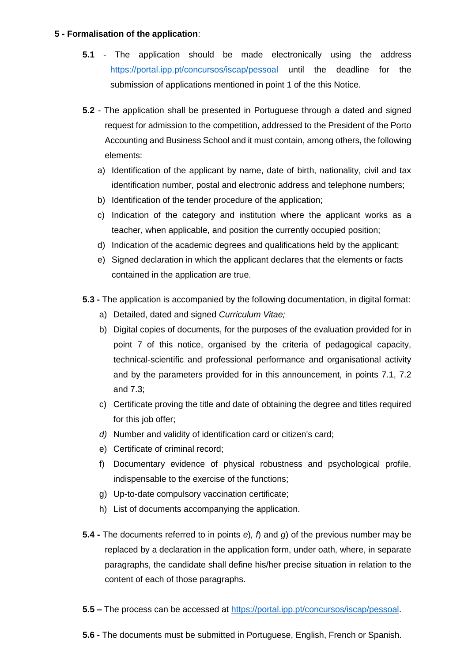### **5 - Formalisation of the application**:

- **5.1**  The application should be made electronically using the address [https://portal.ipp.pt/concursos/iscap/pessoal u](https://portal.ipp.pt/concursos/iscap/pessoal)ntil the deadline for the submission of applications mentioned in point 1 of the this Notice.
- **5.2**  The application shall be presented in Portuguese through a dated and signed request for admission to the competition, addressed to the President of the Porto Accounting and Business School and it must contain, among others, the following elements:
	- a) Identification of the applicant by name, date of birth, nationality, civil and tax identification number, postal and electronic address and telephone numbers;
	- b) Identification of the tender procedure of the application;
	- c) Indication of the category and institution where the applicant works as a teacher, when applicable, and position the currently occupied position;
	- d) Indication of the academic degrees and qualifications held by the applicant;
	- e) Signed declaration in which the applicant declares that the elements or facts contained in the application are true.
- **5.3 -** The application is accompanied by the following documentation, in digital format:
	- a) Detailed, dated and signed *Curriculum Vitae;*
	- b) Digital copies of documents, for the purposes of the evaluation provided for in point 7 of this notice, organised by the criteria of pedagogical capacity, technical-scientific and professional performance and organisational activity and by the parameters provided for in this announcement, in points 7.1, 7.2 and 7.3;
	- c) Certificate proving the title and date of obtaining the degree and titles required for this job offer;
	- *d)* Number and validity of identification card or citizen's card;
	- e) Certificate of criminal record;
	- f) Documentary evidence of physical robustness and psychological profile, indispensable to the exercise of the functions;
	- g) Up-to-date compulsory vaccination certificate;
	- h) List of documents accompanying the application.
- **5.4 -** The documents referred to in points *e*)*, f*) and *g*) of the previous number may be replaced by a declaration in the application form, under oath, where, in separate paragraphs, the candidate shall define his/her precise situation in relation to the content of each of those paragraphs.
- **5.5 –** The process can be accessed at [https://portal.ipp.pt/concursos/iscap/pessoal.](https://portal.ipp.pt/concursos/iscap/pessoal)
- **5.6 -** The documents must be submitted in Portuguese, English, French or Spanish.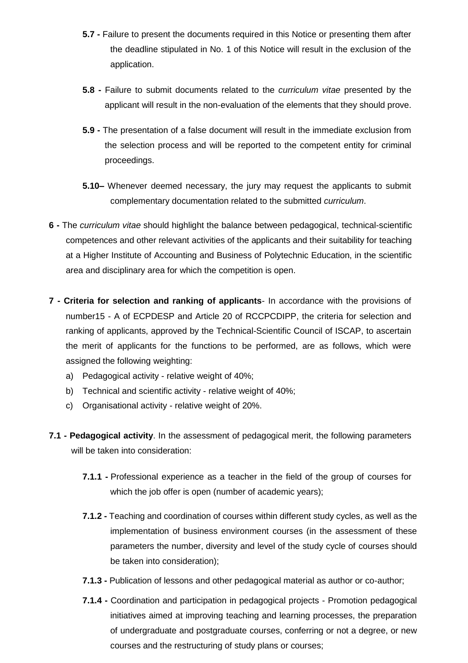- **5.7 -** Failure to present the documents required in this Notice or presenting them after the deadline stipulated in No. 1 of this Notice will result in the exclusion of the application.
- **5.8 -** Failure to submit documents related to the *curriculum vitae* presented by the applicant will result in the non-evaluation of the elements that they should prove.
- **5.9 -** The presentation of a false document will result in the immediate exclusion from the selection process and will be reported to the competent entity for criminal proceedings.
- **5.10–** Whenever deemed necessary, the jury may request the applicants to submit complementary documentation related to the submitted *curriculum*.
- **6 -** The *curriculum vitae* should highlight the balance between pedagogical, technical-scientific competences and other relevant activities of the applicants and their suitability for teaching at a Higher Institute of Accounting and Business of Polytechnic Education, in the scientific area and disciplinary area for which the competition is open.
- **7 - Criteria for selection and ranking of applicants** In accordance with the provisions of number15 - A of ECPDESP and Article 20 of RCCPCDIPP, the criteria for selection and ranking of applicants, approved by the Technical-Scientific Council of ISCAP, to ascertain the merit of applicants for the functions to be performed, are as follows, which were assigned the following weighting:
	- a) Pedagogical activity relative weight of 40%;
	- b) Technical and scientific activity relative weight of 40%;
	- c) Organisational activity relative weight of 20%.
- **7.1 - Pedagogical activity**. In the assessment of pedagogical merit, the following parameters will be taken into consideration:
	- **7.1.1 -** Professional experience as a teacher in the field of the group of courses for which the job offer is open (number of academic years);
	- **7.1.2 -** Teaching and coordination of courses within different study cycles, as well as the implementation of business environment courses (in the assessment of these parameters the number, diversity and level of the study cycle of courses should be taken into consideration);
	- **7.1.3 -** Publication of lessons and other pedagogical material as author or co-author;
	- **7.1.4 -** Coordination and participation in pedagogical projects Promotion pedagogical initiatives aimed at improving teaching and learning processes, the preparation of undergraduate and postgraduate courses, conferring or not a degree, or new courses and the restructuring of study plans or courses;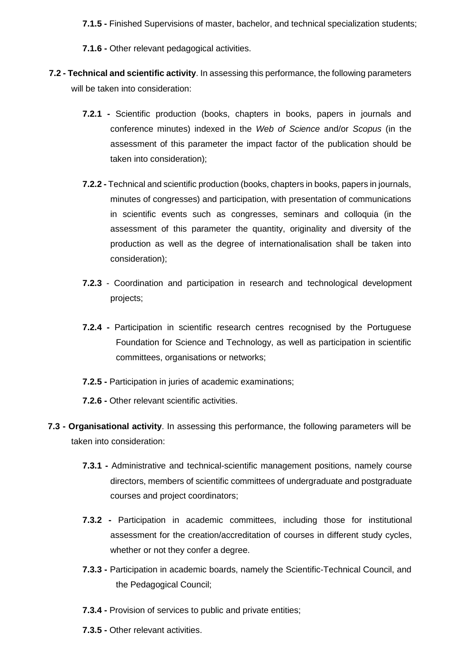- **7.1.5 -** Finished Supervisions of master, bachelor, and technical specialization students;
- **7.1.6 -** Other relevant pedagogical activities.
- **7.2 - Technical and scientific activity**. In assessing this performance, the following parameters will be taken into consideration:
	- **7.2.1 -** Scientific production (books, chapters in books, papers in journals and conference minutes) indexed in the *Web of Science* and/or *Scopus* (in the assessment of this parameter the impact factor of the publication should be taken into consideration);
	- **7.2.2 -** Technical and scientific production (books, chapters in books, papers in journals, minutes of congresses) and participation, with presentation of communications in scientific events such as congresses, seminars and colloquia (in the assessment of this parameter the quantity, originality and diversity of the production as well as the degree of internationalisation shall be taken into consideration);
	- **7.2.3** Coordination and participation in research and technological development projects;
	- **7.2.4 -** Participation in scientific research centres recognised by the Portuguese Foundation for Science and Technology, as well as participation in scientific committees, organisations or networks;
	- **7.2.5 -** Participation in juries of academic examinations;
	- **7.2.6 -** Other relevant scientific activities.
- **7.3 - Organisational activity**. In assessing this performance, the following parameters will be taken into consideration:
	- **7.3.1 -** Administrative and technical-scientific management positions, namely course directors, members of scientific committees of undergraduate and postgraduate courses and project coordinators;
	- **7.3.2 -** Participation in academic committees, including those for institutional assessment for the creation/accreditation of courses in different study cycles, whether or not they confer a degree.
	- **7.3.3 -** Participation in academic boards, namely the Scientific-Technical Council, and the Pedagogical Council;
	- **7.3.4 -** Provision of services to public and private entities;
	- **7.3.5 -** Other relevant activities.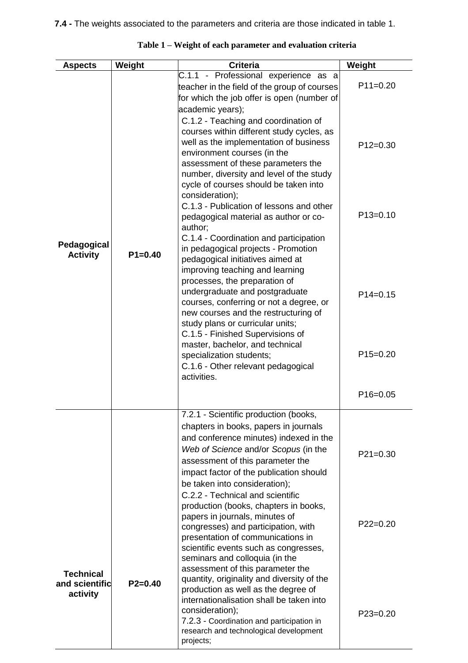| <b>Aspects</b>                                 | Weight      | <b>Criteria</b>                                                                                                                                                                                                                                                                                                                                                                                                                                                                                                                                                                                                                                                                                                                                                                                                                                                                                                         | Weight                                               |
|------------------------------------------------|-------------|-------------------------------------------------------------------------------------------------------------------------------------------------------------------------------------------------------------------------------------------------------------------------------------------------------------------------------------------------------------------------------------------------------------------------------------------------------------------------------------------------------------------------------------------------------------------------------------------------------------------------------------------------------------------------------------------------------------------------------------------------------------------------------------------------------------------------------------------------------------------------------------------------------------------------|------------------------------------------------------|
|                                                |             | C.1.1 - Professional experience as a<br>teacher in the field of the group of courses<br>for which the job offer is open (number of                                                                                                                                                                                                                                                                                                                                                                                                                                                                                                                                                                                                                                                                                                                                                                                      | $P11=0.20$                                           |
| Pedagogical<br><b>Activity</b>                 | $P1 = 0.40$ | academic years);<br>C.1.2 - Teaching and coordination of<br>courses within different study cycles, as<br>well as the implementation of business<br>environment courses (in the<br>assessment of these parameters the<br>number, diversity and level of the study<br>cycle of courses should be taken into<br>consideration);<br>C.1.3 - Publication of lessons and other<br>pedagogical material as author or co-<br>author;<br>C.1.4 - Coordination and participation<br>in pedagogical projects - Promotion<br>pedagogical initiatives aimed at<br>improving teaching and learning<br>processes, the preparation of<br>undergraduate and postgraduate<br>courses, conferring or not a degree, or<br>new courses and the restructuring of<br>study plans or curricular units;<br>C.1.5 - Finished Supervisions of<br>master, bachelor, and technical<br>specialization students;<br>C.1.6 - Other relevant pedagogical | $P12=0.30$<br>$P13=0.10$<br>$P14=0.15$<br>$P15=0.20$ |
|                                                |             | activities.                                                                                                                                                                                                                                                                                                                                                                                                                                                                                                                                                                                                                                                                                                                                                                                                                                                                                                             | $P16 = 0.05$                                         |
|                                                |             | 7.2.1 - Scientific production (books,<br>chapters in books, papers in journals<br>and conference minutes) indexed in the<br>Web of Science and/or Scopus (in the<br>assessment of this parameter the<br>impact factor of the publication should<br>be taken into consideration);<br>C.2.2 - Technical and scientific<br>production (books, chapters in books,<br>papers in journals, minutes of<br>congresses) and participation, with<br>presentation of communications in<br>scientific events such as congresses,                                                                                                                                                                                                                                                                                                                                                                                                    | $P21=0.30$<br>$P22=0.20$                             |
| <b>Technical</b><br>and scientific<br>activity | $P2=0.40$   | seminars and colloquia (in the<br>assessment of this parameter the<br>quantity, originality and diversity of the<br>production as well as the degree of<br>internationalisation shall be taken into<br>consideration);<br>7.2.3 - Coordination and participation in<br>research and technological development<br>projects;                                                                                                                                                                                                                                                                                                                                                                                                                                                                                                                                                                                              | $P23=0.20$                                           |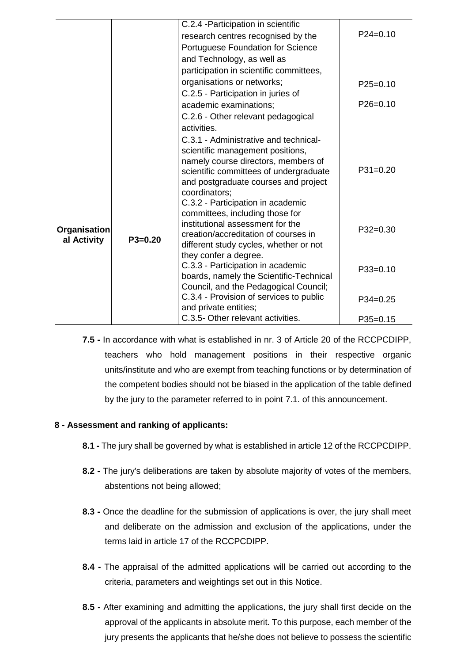|                             |           | C.2.4 - Participation in scientific                                                                                                                                                                                 |            |
|-----------------------------|-----------|---------------------------------------------------------------------------------------------------------------------------------------------------------------------------------------------------------------------|------------|
|                             |           | research centres recognised by the                                                                                                                                                                                  | $P24=0.10$ |
|                             |           | Portuguese Foundation for Science                                                                                                                                                                                   |            |
|                             |           | and Technology, as well as                                                                                                                                                                                          |            |
|                             |           | participation in scientific committees,                                                                                                                                                                             |            |
|                             |           | organisations or networks;                                                                                                                                                                                          | $P25=0.10$ |
|                             |           | C.2.5 - Participation in juries of                                                                                                                                                                                  |            |
|                             |           | academic examinations;                                                                                                                                                                                              | $P26=0.10$ |
|                             |           | C.2.6 - Other relevant pedagogical                                                                                                                                                                                  |            |
|                             |           | activities.                                                                                                                                                                                                         |            |
|                             |           | C.3.1 - Administrative and technical-<br>scientific management positions,<br>namely course directors, members of<br>scientific committees of undergraduate<br>and postgraduate courses and project<br>coordinators; | $P31=0.20$ |
| Organisation<br>al Activity | $P3=0.20$ | C.3.2 - Participation in academic<br>committees, including those for<br>institutional assessment for the<br>creation/accreditation of courses in<br>different study cycles, whether or not                          | $P32=0.30$ |
|                             |           | they confer a degree.<br>C.3.3 - Participation in academic<br>boards, namely the Scientific-Technical<br>Council, and the Pedagogical Council;                                                                      | $P33=0.10$ |
|                             |           | C.3.4 - Provision of services to public<br>and private entities;                                                                                                                                                    | $P34=0.25$ |
|                             |           | C.3.5- Other relevant activities.                                                                                                                                                                                   | $P35=0.15$ |

**7.5 -** In accordance with what is established in nr. 3 of Article 20 of the RCCPCDIPP, teachers who hold management positions in their respective organic units/institute and who are exempt from teaching functions or by determination of the competent bodies should not be biased in the application of the table defined by the jury to the parameter referred to in point 7.1. of this announcement.

# **8 - Assessment and ranking of applicants:**

- **8.1 -** The jury shall be governed by what is established in article 12 of the RCCPCDIPP.
- **8.2 -** The jury's deliberations are taken by absolute majority of votes of the members, abstentions not being allowed;
- **8.3 -** Once the deadline for the submission of applications is over, the jury shall meet and deliberate on the admission and exclusion of the applications, under the terms laid in article 17 of the RCCPCDIPP.
- **8.4 -** The appraisal of the admitted applications will be carried out according to the criteria, parameters and weightings set out in this Notice.
- **8.5 -** After examining and admitting the applications, the jury shall first decide on the approval of the applicants in absolute merit. To this purpose, each member of the jury presents the applicants that he/she does not believe to possess the scientific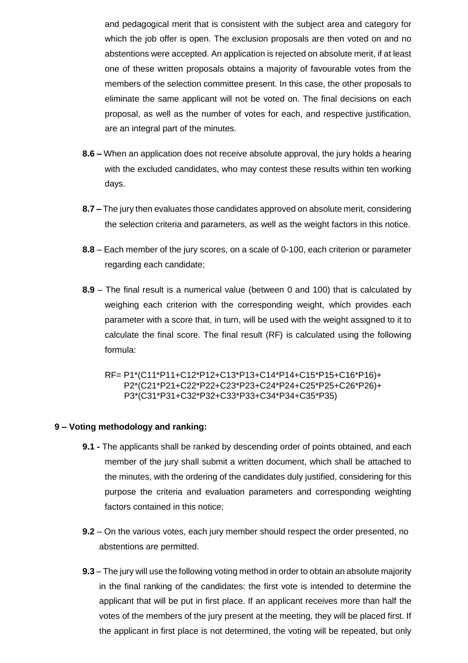and pedagogical merit that is consistent with the subject area and category for which the job offer is open. The exclusion proposals are then voted on and no abstentions were accepted. An application is rejected on absolute merit, if at least one of these written proposals obtains a majority of favourable votes from the members of the selection committee present. In this case, the other proposals to eliminate the same applicant will not be voted on. The final decisions on each proposal, as well as the number of votes for each, and respective justification, are an integral part of the minutes.

- **8.6 –** When an application does not receive absolute approval, the jury holds a hearing with the excluded candidates, who may contest these results within ten working days.
- **8.7 –** The jury then evaluates those candidates approved on absolute merit, considering the selection criteria and parameters, as well as the weight factors in this notice.
- **8.8** Each member of the jury scores, on a scale of 0-100, each criterion or parameter regarding each candidate;
- **8.9** The final result is a numerical value (between 0 and 100) that is calculated by weighing each criterion with the corresponding weight, which provides each parameter with a score that, in turn, will be used with the weight assigned to it to calculate the final score. The final result (RF) is calculated using the following formula:
	- RF= P1\*(C11\*P11+C12\*P12+C13\*P13+C14\*P14+C15\*P15+C16\*P16)+ P2\*(C21\*P21+C22\*P22+C23\*P23+C24\*P24+C25\*P25+C26\*P26)+ P3\*(C31\*P31+C32\*P32+C33\*P33+C34\*P34+C35\*P35)

#### **9 – Voting methodology and ranking:**

- **9.1 -** The applicants shall be ranked by descending order of points obtained, and each member of the jury shall submit a written document, which shall be attached to the minutes, with the ordering of the candidates duly justified, considering for this purpose the criteria and evaluation parameters and corresponding weighting factors contained in this notice;
- **9.2** On the various votes, each jury member should respect the order presented, no abstentions are permitted.
- **9.3** The jury will use the following voting method in order to obtain an absolute majority in the final ranking of the candidates: the first vote is intended to determine the applicant that will be put in first place. If an applicant receives more than half the votes of the members of the jury present at the meeting, they will be placed first. If the applicant in first place is not determined, the voting will be repeated, but only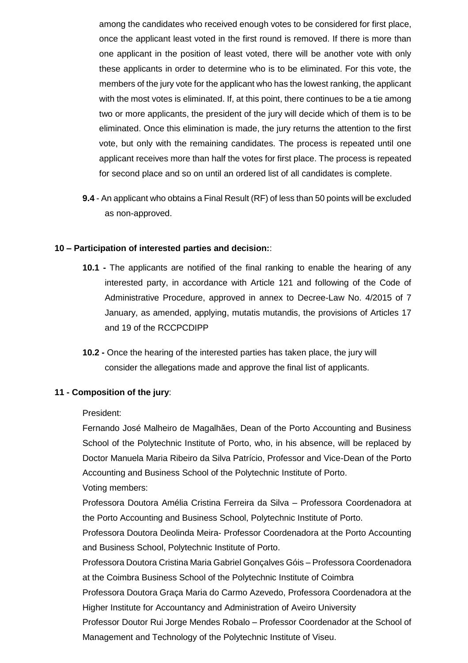among the candidates who received enough votes to be considered for first place, once the applicant least voted in the first round is removed. If there is more than one applicant in the position of least voted, there will be another vote with only these applicants in order to determine who is to be eliminated. For this vote, the members of the jury vote for the applicant who has the lowest ranking, the applicant with the most votes is eliminated. If, at this point, there continues to be a tie among two or more applicants, the president of the jury will decide which of them is to be eliminated. Once this elimination is made, the jury returns the attention to the first vote, but only with the remaining candidates. The process is repeated until one applicant receives more than half the votes for first place. The process is repeated for second place and so on until an ordered list of all candidates is complete.

**9.4** - An applicant who obtains a Final Result (RF) of less than 50 points will be excluded as non-approved.

#### **10 – Participation of interested parties and decision:**:

- **10.1 -** The applicants are notified of the final ranking to enable the hearing of any interested party, in accordance with Article 121 and following of the Code of Administrative Procedure, approved in annex to Decree-Law No. 4/2015 of 7 January, as amended, applying, mutatis mutandis, the provisions of Articles 17 and 19 of the RCCPCDIPP
- **10.2 -** Once the hearing of the interested parties has taken place, the jury will consider the allegations made and approve the final list of applicants.

#### **11 - Composition of the jury**:

#### President:

Fernando José Malheiro de Magalhães, Dean of the Porto Accounting and Business School of the Polytechnic Institute of Porto, who, in his absence, will be replaced by Doctor Manuela Maria Ribeiro da Silva Patrício, Professor and Vice-Dean of the Porto Accounting and Business School of the Polytechnic Institute of Porto.

Voting members:

Professora Doutora Amélia Cristina Ferreira da Silva – Professora Coordenadora at the Porto Accounting and Business School, Polytechnic Institute of Porto.

Professora Doutora Deolinda Meira- Professor Coordenadora at the Porto Accounting and Business School, Polytechnic Institute of Porto.

Professora Doutora Cristina Maria Gabriel Gonçalves Góis – Professora Coordenadora at the Coimbra Business School of the Polytechnic Institute of Coimbra

Professora Doutora Graça Maria do Carmo Azevedo, Professora Coordenadora at the Higher Institute for Accountancy and Administration of Aveiro University

Professor Doutor Rui Jorge Mendes Robalo – Professor Coordenador at the School of Management and Technology of the Polytechnic Institute of Viseu.